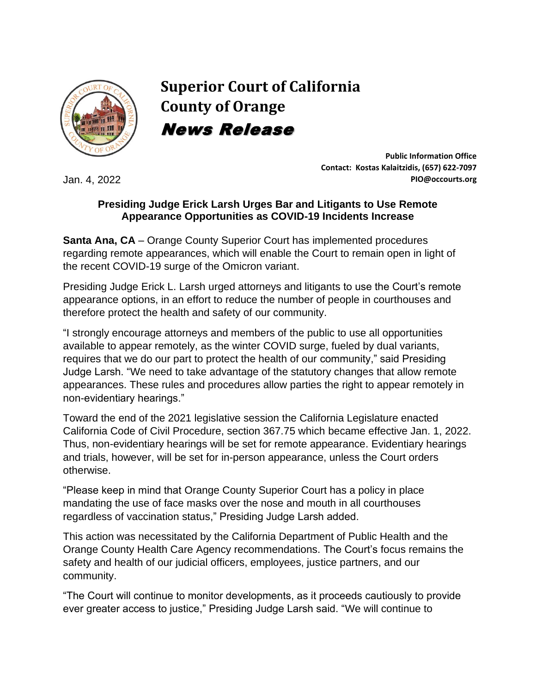

**Superior Court of California County of Orange** News Release

Jan. 4, 2022

**Public Information Office Contact: Kostas Kalaitzidis, (657) 622-7097 PIO@occourts.org**

## **Presiding Judge Erick Larsh Urges Bar and Litigants to Use Remote Appearance Opportunities as COVID-19 Incidents Increase**

**Santa Ana, CA** – Orange County Superior Court has implemented procedures regarding remote appearances, which will enable the Court to remain open in light of the recent COVID-19 surge of the Omicron variant.

Presiding Judge Erick L. Larsh urged attorneys and litigants to use the Court's remote appearance options, in an effort to reduce the number of people in courthouses and therefore protect the health and safety of our community.

"I strongly encourage attorneys and members of the public to use all opportunities available to appear remotely, as the winter COVID surge, fueled by dual variants, requires that we do our part to protect the health of our community," said Presiding Judge Larsh. "We need to take advantage of the statutory changes that allow remote appearances. These rules and procedures allow parties the right to appear remotely in non-evidentiary hearings."

Toward the end of the 2021 legislative session the California Legislature enacted California Code of Civil Procedure, section 367.75 which became effective Jan. 1, 2022. Thus, non-evidentiary hearings will be set for remote appearance. Evidentiary hearings and trials, however, will be set for in-person appearance, unless the Court orders otherwise.

"Please keep in mind that Orange County Superior Court has a policy in place mandating the use of face masks over the nose and mouth in all courthouses regardless of vaccination status," Presiding Judge Larsh added.

This action was necessitated by the California Department of Public Health and the Orange County Health Care Agency recommendations. The Court's focus remains the safety and health of our judicial officers, employees, justice partners, and our community.

"The Court will continue to monitor developments, as it proceeds cautiously to provide ever greater access to justice," Presiding Judge Larsh said. "We will continue to